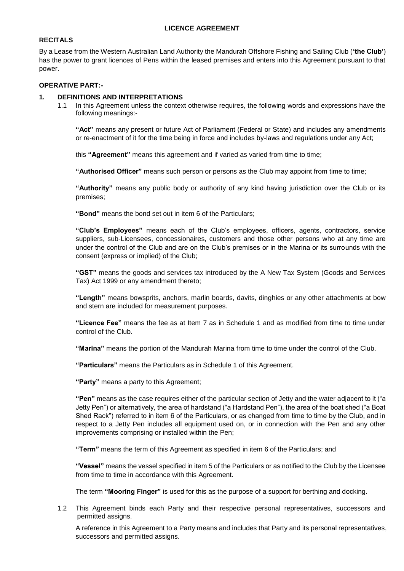## **LICENCE AGREEMENT**

# **RECITALS**

By a Lease from the Western Australian Land Authority the Mandurah Offshore Fishing and Sailing Club (**'the Club'**) has the power to grant licences of Pens within the leased premises and enters into this Agreement pursuant to that power.

## **OPERATIVE PART:-**

### **1. DEFINITIONS AND INTERPRETATIONS**

1.1 In this Agreement unless the context otherwise requires, the following words and expressions have the following meanings:-

**"Act"** means any present or future Act of Parliament (Federal or State) and includes any amendments or re-enactment of it for the time being in force and includes by-laws and regulations under any Act;

this **"Agreement"** means this agreement and if varied as varied from time to time;

**"Authorised Officer"** means such person or persons as the Club may appoint from time to time;

**"Authority"** means any public body or authority of any kind having jurisdiction over the Club or its premises;

**"Bond"** means the bond set out in item 6 of the Particulars;

**"Club's Employees"** means each of the Club's employees, officers, agents, contractors, service suppliers, sub-Licensees, concessionaires, customers and those other persons who at any time are under the control of the Club and are on the Club's premises or in the Marina or its surrounds with the consent (express or implied) of the Club;

**"GST"** means the goods and services tax introduced by the A New Tax System (Goods and Services Tax) Act 1999 or any amendment thereto;

**"Length"** means bowsprits, anchors, marlin boards, davits, dinghies or any other attachments at bow and stern are included for measurement purposes.

**"Licence Fee"** means the fee as at Item 7 as in Schedule 1 and as modified from time to time under control of the Club.

**"Marina"** means the portion of the Mandurah Marina from time to time under the control of the Club.

**"Particulars"** means the Particulars as in Schedule 1 of this Agreement.

**"Party"** means a party to this Agreement;

**"Pen"** means as the case requires either of the particular section of Jetty and the water adjacent to it ("a Jetty Pen") or alternatively, the area of hardstand ("a Hardstand Pen"), the area of the boat shed ("a Boat Shed Rack") referred to in item 6 of the Particulars, or as changed from time to time by the Club, and in respect to a Jetty Pen includes all equipment used on, or in connection with the Pen and any other improvements comprising or installed within the Pen;

**"Term"** means the term of this Agreement as specified in item 6 of the Particulars; and

**"Vessel"** means the vessel specified in item 5 of the Particulars or as notified to the Club by the Licensee from time to time in accordance with this Agreement.

The term **"Mooring Finger"** is used for this as the purpose of a support for berthing and docking.

1.2 This Agreement binds each Party and their respective personal representatives, successors and permitted assigns.

A reference in this Agreement to a Party means and includes that Party and its personal representatives, successors and permitted assigns.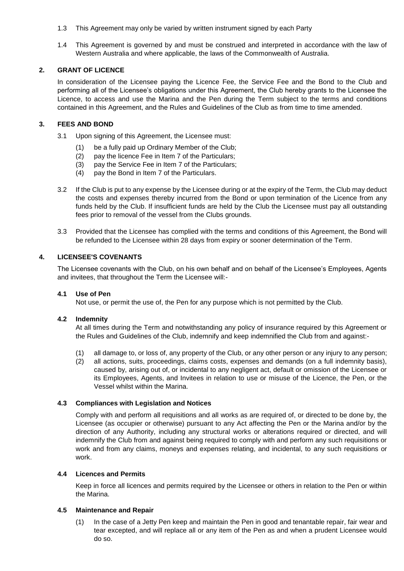- 1.3 This Agreement may only be varied by written instrument signed by each Party
- 1.4 This Agreement is governed by and must be construed and interpreted in accordance with the law of Western Australia and where applicable, the laws of the Commonwealth of Australia.

### **2. GRANT OF LICENCE**

In consideration of the Licensee paying the Licence Fee, the Service Fee and the Bond to the Club and performing all of the Licensee's obligations under this Agreement, the Club hereby grants to the Licensee the Licence, to access and use the Marina and the Pen during the Term subject to the terms and conditions contained in this Agreement, and the Rules and Guidelines of the Club as from time to time amended.

### **3. FEES AND BOND**

- 3.1 Upon signing of this Agreement, the Licensee must:
	- (1) be a fully paid up Ordinary Member of the Club;
	- (2) pay the licence Fee in Item 7 of the Particulars;
	- (3) pay the Service Fee in Item 7 of the Particulars;
	- (4) pay the Bond in Item 7 of the Particulars.
- 3.2 If the Club is put to any expense by the Licensee during or at the expiry of the Term, the Club may deduct the costs and expenses thereby incurred from the Bond or upon termination of the Licence from any funds held by the Club. If insufficient funds are held by the Club the Licensee must pay all outstanding fees prior to removal of the vessel from the Clubs grounds.
- 3.3 Provided that the Licensee has complied with the terms and conditions of this Agreement, the Bond will be refunded to the Licensee within 28 days from expiry or sooner determination of the Term.

### **4. LICENSEE'S COVENANTS**

The Licensee covenants with the Club, on his own behalf and on behalf of the Licensee's Employees, Agents and invitees, that throughout the Term the Licensee will:-

## **4.1 Use of Pen**

Not use, or permit the use of, the Pen for any purpose which is not permitted by the Club.

### **4.2 Indemnity**

At all times during the Term and notwithstanding any policy of insurance required by this Agreement or the Rules and Guidelines of the Club, indemnify and keep indemnified the Club from and against:-

- (1) all damage to, or loss of, any property of the Club, or any other person or any injury to any person;
- (2) all actions, suits, proceedings, claims costs, expenses and demands (on a full indemnity basis), caused by, arising out of, or incidental to any negligent act, default or omission of the Licensee or its Employees, Agents, and Invitees in relation to use or misuse of the Licence, the Pen, or the Vessel whilst within the Marina.

### **4.3 Compliances with Legislation and Notices**

Comply with and perform all requisitions and all works as are required of, or directed to be done by, the Licensee (as occupier or otherwise) pursuant to any Act affecting the Pen or the Marina and/or by the direction of any Authority, including any structural works or alterations required or directed, and will indemnify the Club from and against being required to comply with and perform any such requisitions or work and from any claims, moneys and expenses relating, and incidental, to any such requisitions or work.

#### **4.4 Licences and Permits**

Keep in force all licences and permits required by the Licensee or others in relation to the Pen or within the Marina.

#### **4.5 Maintenance and Repair**

(1) In the case of a Jetty Pen keep and maintain the Pen in good and tenantable repair, fair wear and tear excepted, and will replace all or any item of the Pen as and when a prudent Licensee would do so.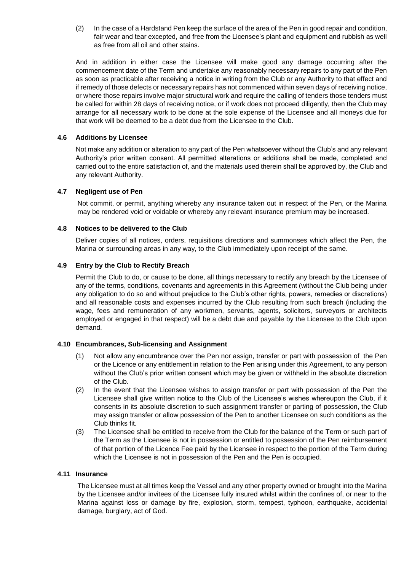(2) In the case of a Hardstand Pen keep the surface of the area of the Pen in good repair and condition, fair wear and tear excepted, and free from the Licensee's plant and equipment and rubbish as well as free from all oil and other stains.

And in addition in either case the Licensee will make good any damage occurring after the commencement date of the Term and undertake any reasonably necessary repairs to any part of the Pen as soon as practicable after receiving a notice in writing from the Club or any Authority to that effect and if remedy of those defects or necessary repairs has not commenced within seven days of receiving notice, or where those repairs involve major structural work and require the calling of tenders those tenders must be called for within 28 days of receiving notice, or if work does not proceed diligently, then the Club may arrange for all necessary work to be done at the sole expense of the Licensee and all moneys due for that work will be deemed to be a debt due from the Licensee to the Club.

### **4.6 Additions by Licensee**

Not make any addition or alteration to any part of the Pen whatsoever without the Club's and any relevant Authority's prior written consent. All permitted alterations or additions shall be made, completed and carried out to the entire satisfaction of, and the materials used therein shall be approved by, the Club and any relevant Authority.

### **4.7 Negligent use of Pen**

Not commit, or permit, anything whereby any insurance taken out in respect of the Pen, or the Marina may be rendered void or voidable or whereby any relevant insurance premium may be increased.

### **4.8 Notices to be delivered to the Club**

Deliver copies of all notices, orders, requisitions directions and summonses which affect the Pen, the Marina or surrounding areas in any way, to the Club immediately upon receipt of the same.

### **4.9 Entry by the Club to Rectify Breach**

Permit the Club to do, or cause to be done, all things necessary to rectify any breach by the Licensee of any of the terms, conditions, covenants and agreements in this Agreement (without the Club being under any obligation to do so and without prejudice to the Club's other rights, powers, remedies or discretions) and all reasonable costs and expenses incurred by the Club resulting from such breach (including the wage, fees and remuneration of any workmen, servants, agents, solicitors, surveyors or architects employed or engaged in that respect) will be a debt due and payable by the Licensee to the Club upon demand.

#### **4.10 Encumbrances, Sub-licensing and Assignment**

- (1) Not allow any encumbrance over the Pen nor assign, transfer or part with possession of the Pen or the Licence or any entitlement in relation to the Pen arising under this Agreement, to any person without the Club's prior written consent which may be given or withheld in the absolute discretion of the Club.
- (2) In the event that the Licensee wishes to assign transfer or part with possession of the Pen the Licensee shall give written notice to the Club of the Licensee's wishes whereupon the Club, if it consents in its absolute discretion to such assignment transfer or parting of possession, the Club may assign transfer or allow possession of the Pen to another Licensee on such conditions as the Club thinks fit.
- (3) The Licensee shall be entitled to receive from the Club for the balance of the Term or such part of the Term as the Licensee is not in possession or entitled to possession of the Pen reimbursement of that portion of the Licence Fee paid by the Licensee in respect to the portion of the Term during which the Licensee is not in possession of the Pen and the Pen is occupied.

#### **4.11 Insurance**

The Licensee must at all times keep the Vessel and any other property owned or brought into the Marina by the Licensee and/or invitees of the Licensee fully insured whilst within the confines of, or near to the Marina against loss or damage by fire, explosion, storm, tempest, typhoon, earthquake, accidental damage, burglary, act of God.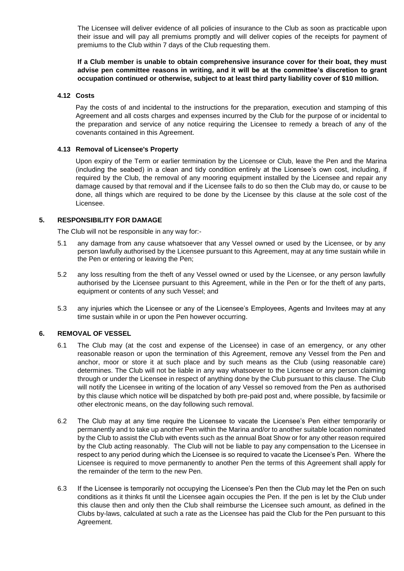The Licensee will deliver evidence of all policies of insurance to the Club as soon as practicable upon their issue and will pay all premiums promptly and will deliver copies of the receipts for payment of premiums to the Club within 7 days of the Club requesting them.

**If a Club member is unable to obtain comprehensive insurance cover for their boat, they must advise pen committee reasons in writing, and it will be at the committee's discretion to grant occupation continued or otherwise, subject to at least third party liability cover of \$10 million.**

### **4.12 Costs**

Pay the costs of and incidental to the instructions for the preparation, execution and stamping of this Agreement and all costs charges and expenses incurred by the Club for the purpose of or incidental to the preparation and service of any notice requiring the Licensee to remedy a breach of any of the covenants contained in this Agreement.

### **4.13 Removal of Licensee's Property**

Upon expiry of the Term or earlier termination by the Licensee or Club, leave the Pen and the Marina (including the seabed) in a clean and tidy condition entirely at the Licensee's own cost, including, if required by the Club, the removal of any mooring equipment installed by the Licensee and repair any damage caused by that removal and if the Licensee fails to do so then the Club may do, or cause to be done, all things which are required to be done by the Licensee by this clause at the sole cost of the Licensee.

### **5. RESPONSIBILITY FOR DAMAGE**

The Club will not be responsible in any way for:-

- 5.1 any damage from any cause whatsoever that any Vessel owned or used by the Licensee, or by any person lawfully authorised by the Licensee pursuant to this Agreement, may at any time sustain while in the Pen or entering or leaving the Pen;
- 5.2 any loss resulting from the theft of any Vessel owned or used by the Licensee, or any person lawfully authorised by the Licensee pursuant to this Agreement, while in the Pen or for the theft of any parts, equipment or contents of any such Vessel; and
- 5.3 any injuries which the Licensee or any of the Licensee's Employees, Agents and Invitees may at any time sustain while in or upon the Pen however occurring.

### **6. REMOVAL OF VESSEL**

- 6.1 The Club may (at the cost and expense of the Licensee) in case of an emergency, or any other reasonable reason or upon the termination of this Agreement, remove any Vessel from the Pen and anchor, moor or store it at such place and by such means as the Club (using reasonable care) determines. The Club will not be liable in any way whatsoever to the Licensee or any person claiming through or under the Licensee in respect of anything done by the Club pursuant to this clause. The Club will notify the Licensee in writing of the location of any Vessel so removed from the Pen as authorised by this clause which notice will be dispatched by both pre-paid post and, where possible, by facsimile or other electronic means, on the day following such removal.
- 6.2 The Club may at any time require the Licensee to vacate the Licensee's Pen either temporarily or permanently and to take up another Pen within the Marina and/or to another suitable location nominated by the Club to assist the Club with events such as the annual Boat Show or for any other reason required by the Club acting reasonably. The Club will not be liable to pay any compensation to the Licensee in respect to any period during which the Licensee is so required to vacate the Licensee's Pen. Where the Licensee is required to move permanently to another Pen the terms of this Agreement shall apply for the remainder of the term to the new Pen.
- 6.3 If the Licensee is temporarily not occupying the Licensee's Pen then the Club may let the Pen on such conditions as it thinks fit until the Licensee again occupies the Pen. If the pen is let by the Club under this clause then and only then the Club shall reimburse the Licensee such amount, as defined in the Clubs by-laws, calculated at such a rate as the Licensee has paid the Club for the Pen pursuant to this Agreement.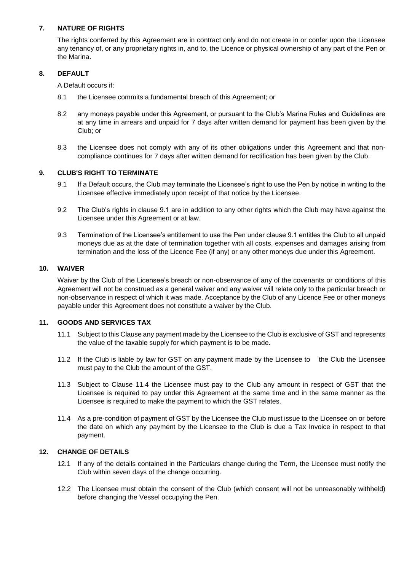# **7. NATURE OF RIGHTS**

The rights conferred by this Agreement are in contract only and do not create in or confer upon the Licensee any tenancy of, or any proprietary rights in, and to, the Licence or physical ownership of any part of the Pen or the Marina.

## **8. DEFAULT**

A Default occurs if:

- 8.1 the Licensee commits a fundamental breach of this Agreement; or
- 8.2 any moneys payable under this Agreement, or pursuant to the Club's Marina Rules and Guidelines are at any time in arrears and unpaid for 7 days after written demand for payment has been given by the Club; or
- 8.3 the Licensee does not comply with any of its other obligations under this Agreement and that noncompliance continues for 7 days after written demand for rectification has been given by the Club.

### **9. CLUB'S RIGHT TO TERMINATE**

- 9.1 If a Default occurs, the Club may terminate the Licensee's right to use the Pen by notice in writing to the Licensee effective immediately upon receipt of that notice by the Licensee.
- 9.2 The Club's rights in clause 9.1 are in addition to any other rights which the Club may have against the Licensee under this Agreement or at law.
- 9.3 Termination of the Licensee's entitlement to use the Pen under clause 9.1 entitles the Club to all unpaid moneys due as at the date of termination together with all costs, expenses and damages arising from termination and the loss of the Licence Fee (if any) or any other moneys due under this Agreement.

### **10. WAIVER**

Waiver by the Club of the Licensee's breach or non-observance of any of the covenants or conditions of this Agreement will not be construed as a general waiver and any waiver will relate only to the particular breach or non-observance in respect of which it was made. Acceptance by the Club of any Licence Fee or other moneys payable under this Agreement does not constitute a waiver by the Club.

## **11. GOODS AND SERVICES TAX**

- 11.1 Subject to this Clause any payment made by the Licensee to the Club is exclusive of GST and represents the value of the taxable supply for which payment is to be made.
- 11.2 If the Club is liable by law for GST on any payment made by the Licensee to the Club the Licensee must pay to the Club the amount of the GST.
- 11.3 Subject to Clause 11.4 the Licensee must pay to the Club any amount in respect of GST that the Licensee is required to pay under this Agreement at the same time and in the same manner as the Licensee is required to make the payment to which the GST relates.
- 11.4 As a pre-condition of payment of GST by the Licensee the Club must issue to the Licensee on or before the date on which any payment by the Licensee to the Club is due a Tax Invoice in respect to that payment.

## **12. CHANGE OF DETAILS**

- 12.1 If any of the details contained in the Particulars change during the Term, the Licensee must notify the Club within seven days of the change occurring.
- 12.2 The Licensee must obtain the consent of the Club (which consent will not be unreasonably withheld) before changing the Vessel occupying the Pen.